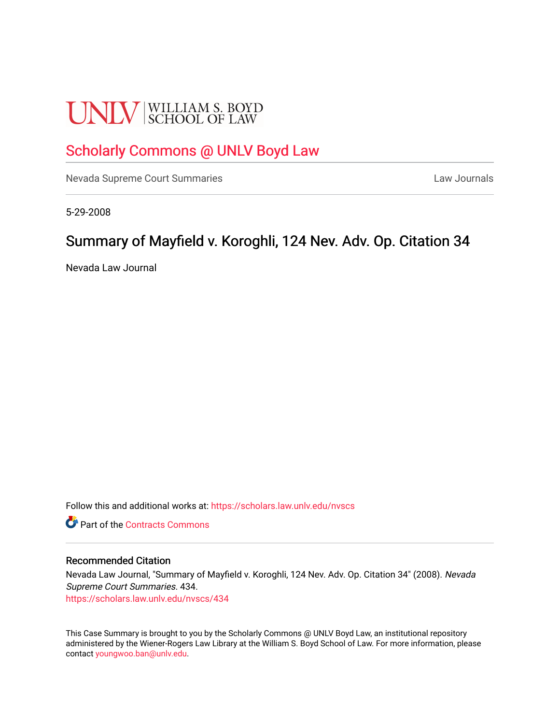# **UNLV** SCHOOL OF LAW

# [Scholarly Commons @ UNLV Boyd Law](https://scholars.law.unlv.edu/)

[Nevada Supreme Court Summaries](https://scholars.law.unlv.edu/nvscs) **Law Journals** Law Journals

5-29-2008

## Summary of Mayfield v. Koroghli, 124 Nev. Adv. Op. Citation 34

Nevada Law Journal

Follow this and additional works at: [https://scholars.law.unlv.edu/nvscs](https://scholars.law.unlv.edu/nvscs?utm_source=scholars.law.unlv.edu%2Fnvscs%2F434&utm_medium=PDF&utm_campaign=PDFCoverPages)

**C** Part of the [Contracts Commons](http://network.bepress.com/hgg/discipline/591?utm_source=scholars.law.unlv.edu%2Fnvscs%2F434&utm_medium=PDF&utm_campaign=PDFCoverPages)

#### Recommended Citation

Nevada Law Journal, "Summary of Mayfield v. Koroghli, 124 Nev. Adv. Op. Citation 34" (2008). Nevada Supreme Court Summaries. 434. [https://scholars.law.unlv.edu/nvscs/434](https://scholars.law.unlv.edu/nvscs/434?utm_source=scholars.law.unlv.edu%2Fnvscs%2F434&utm_medium=PDF&utm_campaign=PDFCoverPages)

This Case Summary is brought to you by the Scholarly Commons @ UNLV Boyd Law, an institutional repository administered by the Wiener-Rogers Law Library at the William S. Boyd School of Law. For more information, please contact [youngwoo.ban@unlv.edu](mailto:youngwoo.ban@unlv.edu).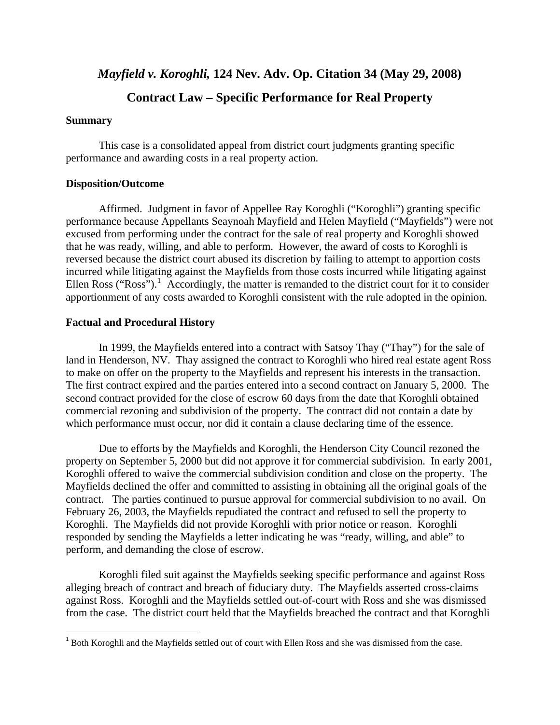### *Mayfield v. Koroghli,* **124 Nev. Adv. Op. Citation 34 (May 29, 2008)**

## **Contract Law – Specific Performance for Real Property**

#### **Summary**

<u>.</u>

 This case is a consolidated appeal from district court judgments granting specific performance and awarding costs in a real property action.

#### **Disposition/Outcome**

 Affirmed. Judgment in favor of Appellee Ray Koroghli ("Koroghli") granting specific performance because Appellants Seaynoah Mayfield and Helen Mayfield ("Mayfields") were not excused from performing under the contract for the sale of real property and Koroghli showed that he was ready, willing, and able to perform. However, the award of costs to Koroghli is reversed because the district court abused its discretion by failing to attempt to apportion costs incurred while litigating against the Mayfields from those costs incurred while litigating against Ellen Ross ("Ross").<sup>[1](#page-1-0)</sup> Accordingly, the matter is remanded to the district court for it to consider apportionment of any costs awarded to Koroghli consistent with the rule adopted in the opinion.

#### **Factual and Procedural History**

 In 1999, the Mayfields entered into a contract with Satsoy Thay ("Thay") for the sale of land in Henderson, NV. Thay assigned the contract to Koroghli who hired real estate agent Ross to make on offer on the property to the Mayfields and represent his interests in the transaction. The first contract expired and the parties entered into a second contract on January 5, 2000. The second contract provided for the close of escrow 60 days from the date that Koroghli obtained commercial rezoning and subdivision of the property. The contract did not contain a date by which performance must occur, nor did it contain a clause declaring time of the essence.

 Due to efforts by the Mayfields and Koroghli, the Henderson City Council rezoned the property on September 5, 2000 but did not approve it for commercial subdivision. In early 2001, Koroghli offered to waive the commercial subdivision condition and close on the property. The Mayfields declined the offer and committed to assisting in obtaining all the original goals of the contract. The parties continued to pursue approval for commercial subdivision to no avail. On February 26, 2003, the Mayfields repudiated the contract and refused to sell the property to Koroghli. The Mayfields did not provide Koroghli with prior notice or reason. Koroghli responded by sending the Mayfields a letter indicating he was "ready, willing, and able" to perform, and demanding the close of escrow.

 Koroghli filed suit against the Mayfields seeking specific performance and against Ross alleging breach of contract and breach of fiduciary duty. The Mayfields asserted cross-claims against Ross. Koroghli and the Mayfields settled out-of-court with Ross and she was dismissed from the case. The district court held that the Mayfields breached the contract and that Koroghli

<span id="page-1-0"></span><sup>1</sup> Both Koroghli and the Mayfields settled out of court with Ellen Ross and she was dismissed from the case.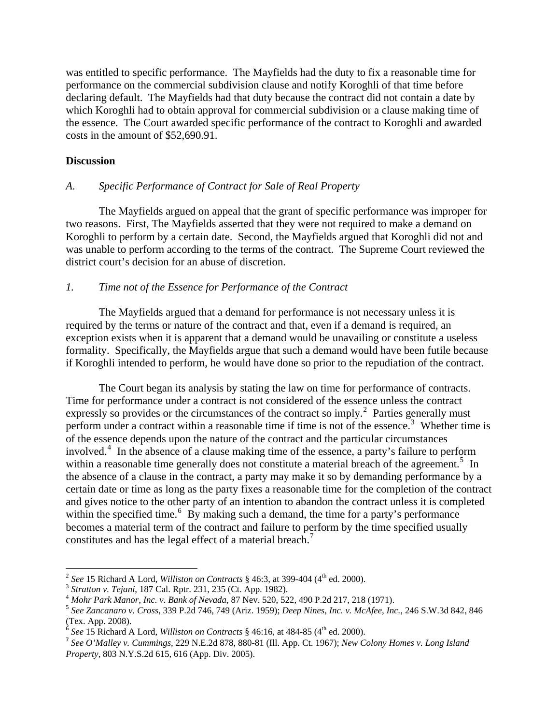was entitled to specific performance. The Mayfields had the duty to fix a reasonable time for performance on the commercial subdivision clause and notify Koroghli of that time before declaring default. The Mayfields had that duty because the contract did not contain a date by which Koroghli had to obtain approval for commercial subdivision or a clause making time of the essence. The Court awarded specific performance of the contract to Koroghli and awarded costs in the amount of \$52,690.91.

#### **Discussion**

1

#### *A. Specific Performance of Contract for Sale of Real Property*

 The Mayfields argued on appeal that the grant of specific performance was improper for two reasons. First, The Mayfields asserted that they were not required to make a demand on Koroghli to perform by a certain date. Second, the Mayfields argued that Koroghli did not and was unable to perform according to the terms of the contract. The Supreme Court reviewed the district court's decision for an abuse of discretion.

#### *1. Time not of the Essence for Performance of the Contract*

 The Mayfields argued that a demand for performance is not necessary unless it is required by the terms or nature of the contract and that, even if a demand is required, an exception exists when it is apparent that a demand would be unavailing or constitute a useless formality. Specifically, the Mayfields argue that such a demand would have been futile because if Koroghli intended to perform, he would have done so prior to the repudiation of the contract.

 The Court began its analysis by stating the law on time for performance of contracts. Time for performance under a contract is not considered of the essence unless the contract expressly so provides or the circumstances of the contract so imply.<sup>[2](#page-2-0)</sup> Parties generally must perform under a contract within a reasonable time if time is not of the essence.<sup>[3](#page-2-1)</sup> Whether time is of the essence depends upon the nature of the contract and the particular circumstances involved.[4](#page-2-2) In the absence of a clause making time of the essence, a party's failure to perform within a reasonable time generally does not constitute a material breach of the agreement.<sup>[5](#page-2-3)</sup> In the absence of a clause in the contract, a party may make it so by demanding performance by a certain date or time as long as the party fixes a reasonable time for the completion of the contract and gives notice to the other party of an intention to abandon the contract unless it is completed within the specified time.<sup>[6](#page-2-4)</sup> By making such a demand, the time for a party's performance becomes a material term of the contract and failure to perform by the time specified usually constitutes and has the legal effect of a material breach.<sup>[7](#page-2-5)</sup>

<span id="page-2-2"></span>

<span id="page-2-3"></span>

<span id="page-2-1"></span><span id="page-2-0"></span><sup>&</sup>lt;sup>2</sup> See 15 Richard A Lord, *Williston on Contracts* § 46:3, at 399-404 (4<sup>th</sup> ed. 2000).<br><sup>3</sup> Stratton v. Tejani, 187 Cal. Rptr. 231, 235 (Ct. App. 1982).<br><sup>4</sup> Mohr Park Manor, Inc. v. Bank of Nevada, 87 Nev. 520, 522, 490 (Tex. App. 2008).

 $6 \text{ }$  See 15 Richard A Lord, *Williston on Contracts* § 46:16, at 484-85 (4<sup>th</sup> ed. 2000).

<span id="page-2-5"></span><span id="page-2-4"></span><sup>7</sup> *See O'Malley v. Cummings*, 229 N.E.2d 878, 880-81 (Ill. App. Ct. 1967); *New Colony Homes v. Long Island Property*, 803 N.Y.S.2d 615, 616 (App. Div. 2005).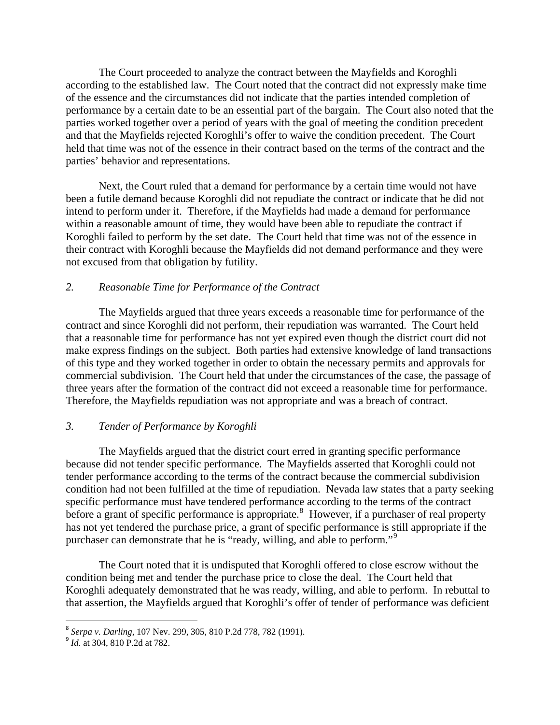The Court proceeded to analyze the contract between the Mayfields and Koroghli according to the established law. The Court noted that the contract did not expressly make time of the essence and the circumstances did not indicate that the parties intended completion of performance by a certain date to be an essential part of the bargain. The Court also noted that the parties worked together over a period of years with the goal of meeting the condition precedent and that the Mayfields rejected Koroghli's offer to waive the condition precedent. The Court held that time was not of the essence in their contract based on the terms of the contract and the parties' behavior and representations.

 Next, the Court ruled that a demand for performance by a certain time would not have been a futile demand because Koroghli did not repudiate the contract or indicate that he did not intend to perform under it. Therefore, if the Mayfields had made a demand for performance within a reasonable amount of time, they would have been able to repudiate the contract if Koroghli failed to perform by the set date. The Court held that time was not of the essence in their contract with Koroghli because the Mayfields did not demand performance and they were not excused from that obligation by futility.

#### *2. Reasonable Time for Performance of the Contract*

 The Mayfields argued that three years exceeds a reasonable time for performance of the contract and since Koroghli did not perform, their repudiation was warranted. The Court held that a reasonable time for performance has not yet expired even though the district court did not make express findings on the subject. Both parties had extensive knowledge of land transactions of this type and they worked together in order to obtain the necessary permits and approvals for commercial subdivision. The Court held that under the circumstances of the case, the passage of three years after the formation of the contract did not exceed a reasonable time for performance. Therefore, the Mayfields repudiation was not appropriate and was a breach of contract.

#### *3. Tender of Performance by Koroghli*

 The Mayfields argued that the district court erred in granting specific performance because did not tender specific performance. The Mayfields asserted that Koroghli could not tender performance according to the terms of the contract because the commercial subdivision condition had not been fulfilled at the time of repudiation. Nevada law states that a party seeking specific performance must have tendered performance according to the terms of the contract before a grant of specific performance is appropriate.<sup>[8](#page-3-0)</sup> However, if a purchaser of real property has not yet tendered the purchase price, a grant of specific performance is still appropriate if the purchaser can demonstrate that he is "ready, willing, and able to perform."[9](#page-3-1)

 The Court noted that it is undisputed that Koroghli offered to close escrow without the condition being met and tender the purchase price to close the deal. The Court held that Koroghli adequately demonstrated that he was ready, willing, and able to perform. In rebuttal to that assertion, the Mayfields argued that Koroghli's offer of tender of performance was deficient

 $\overline{a}$ <sup>8</sup> *Serpa v. Darling*, 107 Nev. 299, 305, 810 P.2d 778, 782 (1991).

<span id="page-3-1"></span><span id="page-3-0"></span><sup>&</sup>lt;sup>9</sup> *Id.* at 304, 810 P.2d at 782.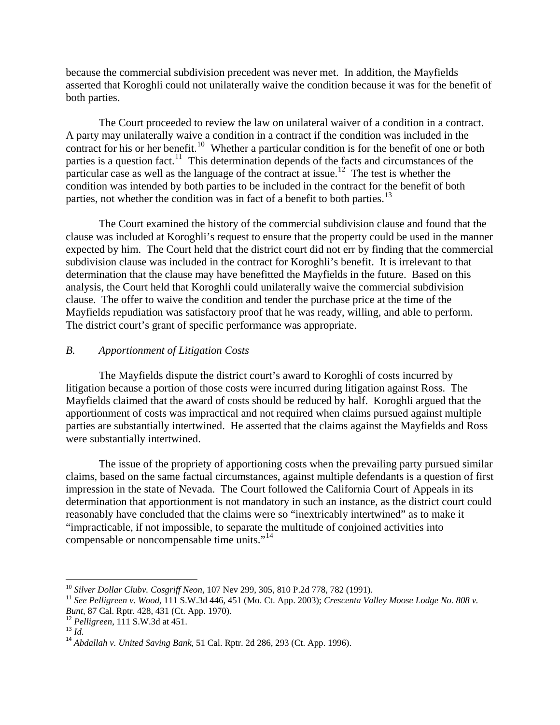because the commercial subdivision precedent was never met. In addition, the Mayfields asserted that Koroghli could not unilaterally waive the condition because it was for the benefit of both parties.

 The Court proceeded to review the law on unilateral waiver of a condition in a contract. A party may unilaterally waive a condition in a contract if the condition was included in the contract for his or her benefit.<sup>[10](#page-4-0)</sup> Whether a particular condition is for the benefit of one or both parties is a question fact.<sup>11</sup> This determination depends of the facts and circumstances of the particular case as well as the language of the contract at issue.<sup>[12](#page-4-2)</sup> The test is whether the condition was intended by both parties to be included in the contract for the benefit of both parties, not whether the condition was in fact of a benefit to both parties.<sup>[13](#page-4-3)</sup>

 The Court examined the history of the commercial subdivision clause and found that the clause was included at Koroghli's request to ensure that the property could be used in the manner expected by him. The Court held that the district court did not err by finding that the commercial subdivision clause was included in the contract for Koroghli's benefit. It is irrelevant to that determination that the clause may have benefitted the Mayfields in the future. Based on this analysis, the Court held that Koroghli could unilaterally waive the commercial subdivision clause. The offer to waive the condition and tender the purchase price at the time of the Mayfields repudiation was satisfactory proof that he was ready, willing, and able to perform. The district court's grant of specific performance was appropriate.

#### *B. Apportionment of Litigation Costs*

 The Mayfields dispute the district court's award to Koroghli of costs incurred by litigation because a portion of those costs were incurred during litigation against Ross. The Mayfields claimed that the award of costs should be reduced by half. Koroghli argued that the apportionment of costs was impractical and not required when claims pursued against multiple parties are substantially intertwined. He asserted that the claims against the Mayfields and Ross were substantially intertwined.

 The issue of the propriety of apportioning costs when the prevailing party pursued similar claims, based on the same factual circumstances, against multiple defendants is a question of first impression in the state of Nevada. The Court followed the California Court of Appeals in its determination that apportionment is not mandatory in such an instance, as the district court could reasonably have concluded that the claims were so "inextricably intertwined" as to make it "impracticable, if not impossible, to separate the multitude of conjoined activities into compensable or noncompensable time units."<sup>[14](#page-4-4)</sup>

<span id="page-4-0"></span><sup>&</sup>lt;sup>10</sup> Silver Dollar Clubv. Cosgriff Neon, 107 Nev 299, 305, 810 P.2d 778, 782 (1991).

<span id="page-4-1"></span><sup>&</sup>lt;sup>11</sup> See Pelligreen v. Wood, 111 S.W.3d 446, 451 (Mo. Ct. App. 2003); *Crescenta Valley Moose Lodge No. 808 v. Bunt*, 87 Cal. Rptr. 428, 431 (Ct. App. 1970).

<span id="page-4-4"></span>

<span id="page-4-3"></span><span id="page-4-2"></span><sup>&</sup>lt;sup>12</sup> Pelligreen, 111 S.W.3d at 451.<br><sup>13</sup> *Id. 14 Abdallah v. United Saving Bank*, 51 Cal. Rptr. 2d 286, 293 (Ct. App. 1996).